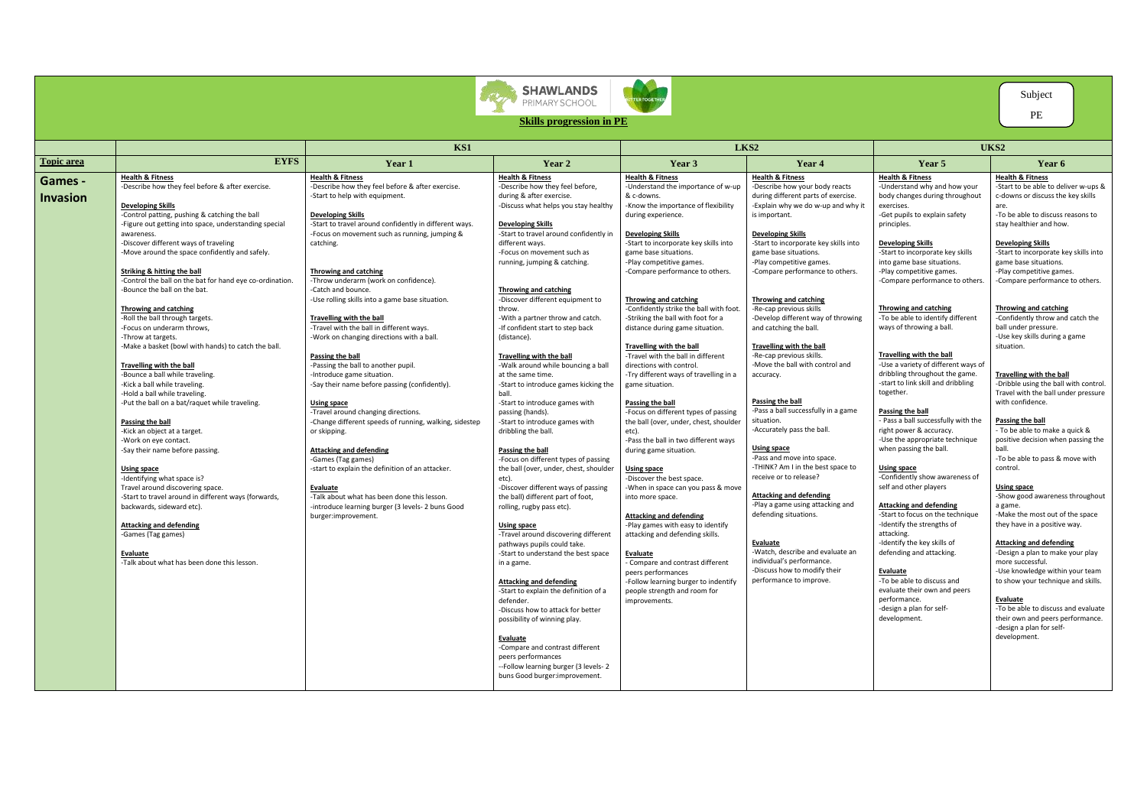



**Skills progression in PE**

| <b>EYFS</b><br><b>Topic area</b><br>Year 1<br>Year 3<br>Year 4<br>Year 5<br>Year 2<br><b>Health &amp; Fitness</b><br><b>Health &amp; Fitness</b><br><b>Health &amp; Fitness</b><br><b>Health &amp; Fitness</b><br><b>Health &amp; Fitness</b><br><b>Health &amp; Fitness</b><br><b>Health &amp; Fitness</b><br><b>Games -</b><br>-Start to be able to de<br>-Describe how they feel before & after exercise.<br>-Describe how they feel before & after exercise.<br>-Describe how they feel before,<br>-Understand the importance of w-up<br>-Describe how your body reacts<br>-Understand why and how your<br>during & after exercise.<br>during different parts of exercise.<br>body changes during throughout<br>c-downs or discuss the<br>-Start to help with equipment.<br>& c-downs.<br><b>Invasion</b><br>-Discuss what helps you stay healthy<br>-Explain why we do w-up and why it<br>-Know the importance of flexibility<br>exercises.<br><b>Developing Skills</b><br>are.<br>-Control patting, pushing & catching the ball<br><b>Developing Skills</b><br>during experience.<br>is important.<br>-Get pupils to explain safety<br>-Start to travel around confidently in different ways.<br>-Figure out getting into space, understanding special<br><b>Developing Skills</b><br>principles.<br>-Start to travel around confidently in<br>Focus on movement such as running, jumping &<br><b>Developing Skills</b><br><b>Developing Skills</b><br>awareness.<br>-Discover different ways of traveling<br>-Start to incorporate key skills into<br>catching.<br>different ways.<br>-Start to incorporate key skills into<br><b>Developing Skills</b><br><b>Developing Skills</b><br>-Move around the space confidently and safely.<br>-Start to incorporate key skills<br>-Focus on movement such as<br>game base situations.<br>game base situations.<br>running, jumping & catching.<br>-Play competitive games.<br>-Play competitive games.<br>into game base situations.<br>-Compare performance to others.<br>-Play competitive gam<br><b>Striking &amp; hitting the ball</b><br>-Compare performance to others.<br>-Play competitive games.<br>Throwing and catching<br>-Control the ball on the bat for hand eye co-ordination.<br>-Throw underarm (work on confidence).<br>-Compare performand<br>-Compare performance to others.<br>-Bounce the ball on the bat.<br>-Catch and bounce.<br>Throwing and catching<br>-Discover different equipment to<br>-Use rolling skills into a game base situation.<br>Throwing and catching<br>Throwing and catching<br>-Confidently strike the ball with foot.<br>-Re-cap previous skills<br>Throwing and catching<br>Throwing and catchin<br><b>Throwing and catching</b><br>throw.<br>-Confidently throw an<br>-To be able to identify different<br>-Develop different way of throwing<br>-Roll the ball through targets.<br><b>Travelling with the ball</b><br>-With a partner throw and catch.<br>-Striking the ball with foot for a<br>ball under pressure.<br>-Travel with the ball in different ways.<br>ways of throwing a ball.<br>-Focus on underarm throws,<br>-If confident start to step back<br>distance during game situation.<br>and catching the ball.<br>-Throw at targets.<br>-Work on changing directions with a ball.<br>(distance).<br>-Make a basket (bowl with hands) to catch the ball.<br>Travelling with the ball<br>situation.<br>Travelling with the ball | UKS2                                            |  |
|------------------------------------------------------------------------------------------------------------------------------------------------------------------------------------------------------------------------------------------------------------------------------------------------------------------------------------------------------------------------------------------------------------------------------------------------------------------------------------------------------------------------------------------------------------------------------------------------------------------------------------------------------------------------------------------------------------------------------------------------------------------------------------------------------------------------------------------------------------------------------------------------------------------------------------------------------------------------------------------------------------------------------------------------------------------------------------------------------------------------------------------------------------------------------------------------------------------------------------------------------------------------------------------------------------------------------------------------------------------------------------------------------------------------------------------------------------------------------------------------------------------------------------------------------------------------------------------------------------------------------------------------------------------------------------------------------------------------------------------------------------------------------------------------------------------------------------------------------------------------------------------------------------------------------------------------------------------------------------------------------------------------------------------------------------------------------------------------------------------------------------------------------------------------------------------------------------------------------------------------------------------------------------------------------------------------------------------------------------------------------------------------------------------------------------------------------------------------------------------------------------------------------------------------------------------------------------------------------------------------------------------------------------------------------------------------------------------------------------------------------------------------------------------------------------------------------------------------------------------------------------------------------------------------------------------------------------------------------------------------------------------------------------------------------------------------------------------------------------------------------------------------------------------------------------------------------------------------------------------------------------------------------------------------------------------------------------------------------------------------------------------------------------------------------------------------|-------------------------------------------------|--|
|                                                                                                                                                                                                                                                                                                                                                                                                                                                                                                                                                                                                                                                                                                                                                                                                                                                                                                                                                                                                                                                                                                                                                                                                                                                                                                                                                                                                                                                                                                                                                                                                                                                                                                                                                                                                                                                                                                                                                                                                                                                                                                                                                                                                                                                                                                                                                                                                                                                                                                                                                                                                                                                                                                                                                                                                                                                                                                                                                                                                                                                                                                                                                                                                                                                                                                                                                                                                                                                | Year 6                                          |  |
|                                                                                                                                                                                                                                                                                                                                                                                                                                                                                                                                                                                                                                                                                                                                                                                                                                                                                                                                                                                                                                                                                                                                                                                                                                                                                                                                                                                                                                                                                                                                                                                                                                                                                                                                                                                                                                                                                                                                                                                                                                                                                                                                                                                                                                                                                                                                                                                                                                                                                                                                                                                                                                                                                                                                                                                                                                                                                                                                                                                                                                                                                                                                                                                                                                                                                                                                                                                                                                                |                                                 |  |
|                                                                                                                                                                                                                                                                                                                                                                                                                                                                                                                                                                                                                                                                                                                                                                                                                                                                                                                                                                                                                                                                                                                                                                                                                                                                                                                                                                                                                                                                                                                                                                                                                                                                                                                                                                                                                                                                                                                                                                                                                                                                                                                                                                                                                                                                                                                                                                                                                                                                                                                                                                                                                                                                                                                                                                                                                                                                                                                                                                                                                                                                                                                                                                                                                                                                                                                                                                                                                                                |                                                 |  |
|                                                                                                                                                                                                                                                                                                                                                                                                                                                                                                                                                                                                                                                                                                                                                                                                                                                                                                                                                                                                                                                                                                                                                                                                                                                                                                                                                                                                                                                                                                                                                                                                                                                                                                                                                                                                                                                                                                                                                                                                                                                                                                                                                                                                                                                                                                                                                                                                                                                                                                                                                                                                                                                                                                                                                                                                                                                                                                                                                                                                                                                                                                                                                                                                                                                                                                                                                                                                                                                |                                                 |  |
|                                                                                                                                                                                                                                                                                                                                                                                                                                                                                                                                                                                                                                                                                                                                                                                                                                                                                                                                                                                                                                                                                                                                                                                                                                                                                                                                                                                                                                                                                                                                                                                                                                                                                                                                                                                                                                                                                                                                                                                                                                                                                                                                                                                                                                                                                                                                                                                                                                                                                                                                                                                                                                                                                                                                                                                                                                                                                                                                                                                                                                                                                                                                                                                                                                                                                                                                                                                                                                                | -To be able to discuss                          |  |
|                                                                                                                                                                                                                                                                                                                                                                                                                                                                                                                                                                                                                                                                                                                                                                                                                                                                                                                                                                                                                                                                                                                                                                                                                                                                                                                                                                                                                                                                                                                                                                                                                                                                                                                                                                                                                                                                                                                                                                                                                                                                                                                                                                                                                                                                                                                                                                                                                                                                                                                                                                                                                                                                                                                                                                                                                                                                                                                                                                                                                                                                                                                                                                                                                                                                                                                                                                                                                                                | stay healthier and hov                          |  |
|                                                                                                                                                                                                                                                                                                                                                                                                                                                                                                                                                                                                                                                                                                                                                                                                                                                                                                                                                                                                                                                                                                                                                                                                                                                                                                                                                                                                                                                                                                                                                                                                                                                                                                                                                                                                                                                                                                                                                                                                                                                                                                                                                                                                                                                                                                                                                                                                                                                                                                                                                                                                                                                                                                                                                                                                                                                                                                                                                                                                                                                                                                                                                                                                                                                                                                                                                                                                                                                |                                                 |  |
|                                                                                                                                                                                                                                                                                                                                                                                                                                                                                                                                                                                                                                                                                                                                                                                                                                                                                                                                                                                                                                                                                                                                                                                                                                                                                                                                                                                                                                                                                                                                                                                                                                                                                                                                                                                                                                                                                                                                                                                                                                                                                                                                                                                                                                                                                                                                                                                                                                                                                                                                                                                                                                                                                                                                                                                                                                                                                                                                                                                                                                                                                                                                                                                                                                                                                                                                                                                                                                                |                                                 |  |
|                                                                                                                                                                                                                                                                                                                                                                                                                                                                                                                                                                                                                                                                                                                                                                                                                                                                                                                                                                                                                                                                                                                                                                                                                                                                                                                                                                                                                                                                                                                                                                                                                                                                                                                                                                                                                                                                                                                                                                                                                                                                                                                                                                                                                                                                                                                                                                                                                                                                                                                                                                                                                                                                                                                                                                                                                                                                                                                                                                                                                                                                                                                                                                                                                                                                                                                                                                                                                                                | -Start to incorporate k                         |  |
|                                                                                                                                                                                                                                                                                                                                                                                                                                                                                                                                                                                                                                                                                                                                                                                                                                                                                                                                                                                                                                                                                                                                                                                                                                                                                                                                                                                                                                                                                                                                                                                                                                                                                                                                                                                                                                                                                                                                                                                                                                                                                                                                                                                                                                                                                                                                                                                                                                                                                                                                                                                                                                                                                                                                                                                                                                                                                                                                                                                                                                                                                                                                                                                                                                                                                                                                                                                                                                                | game base situations.                           |  |
|                                                                                                                                                                                                                                                                                                                                                                                                                                                                                                                                                                                                                                                                                                                                                                                                                                                                                                                                                                                                                                                                                                                                                                                                                                                                                                                                                                                                                                                                                                                                                                                                                                                                                                                                                                                                                                                                                                                                                                                                                                                                                                                                                                                                                                                                                                                                                                                                                                                                                                                                                                                                                                                                                                                                                                                                                                                                                                                                                                                                                                                                                                                                                                                                                                                                                                                                                                                                                                                |                                                 |  |
|                                                                                                                                                                                                                                                                                                                                                                                                                                                                                                                                                                                                                                                                                                                                                                                                                                                                                                                                                                                                                                                                                                                                                                                                                                                                                                                                                                                                                                                                                                                                                                                                                                                                                                                                                                                                                                                                                                                                                                                                                                                                                                                                                                                                                                                                                                                                                                                                                                                                                                                                                                                                                                                                                                                                                                                                                                                                                                                                                                                                                                                                                                                                                                                                                                                                                                                                                                                                                                                |                                                 |  |
|                                                                                                                                                                                                                                                                                                                                                                                                                                                                                                                                                                                                                                                                                                                                                                                                                                                                                                                                                                                                                                                                                                                                                                                                                                                                                                                                                                                                                                                                                                                                                                                                                                                                                                                                                                                                                                                                                                                                                                                                                                                                                                                                                                                                                                                                                                                                                                                                                                                                                                                                                                                                                                                                                                                                                                                                                                                                                                                                                                                                                                                                                                                                                                                                                                                                                                                                                                                                                                                |                                                 |  |
|                                                                                                                                                                                                                                                                                                                                                                                                                                                                                                                                                                                                                                                                                                                                                                                                                                                                                                                                                                                                                                                                                                                                                                                                                                                                                                                                                                                                                                                                                                                                                                                                                                                                                                                                                                                                                                                                                                                                                                                                                                                                                                                                                                                                                                                                                                                                                                                                                                                                                                                                                                                                                                                                                                                                                                                                                                                                                                                                                                                                                                                                                                                                                                                                                                                                                                                                                                                                                                                |                                                 |  |
|                                                                                                                                                                                                                                                                                                                                                                                                                                                                                                                                                                                                                                                                                                                                                                                                                                                                                                                                                                                                                                                                                                                                                                                                                                                                                                                                                                                                                                                                                                                                                                                                                                                                                                                                                                                                                                                                                                                                                                                                                                                                                                                                                                                                                                                                                                                                                                                                                                                                                                                                                                                                                                                                                                                                                                                                                                                                                                                                                                                                                                                                                                                                                                                                                                                                                                                                                                                                                                                |                                                 |  |
|                                                                                                                                                                                                                                                                                                                                                                                                                                                                                                                                                                                                                                                                                                                                                                                                                                                                                                                                                                                                                                                                                                                                                                                                                                                                                                                                                                                                                                                                                                                                                                                                                                                                                                                                                                                                                                                                                                                                                                                                                                                                                                                                                                                                                                                                                                                                                                                                                                                                                                                                                                                                                                                                                                                                                                                                                                                                                                                                                                                                                                                                                                                                                                                                                                                                                                                                                                                                                                                |                                                 |  |
|                                                                                                                                                                                                                                                                                                                                                                                                                                                                                                                                                                                                                                                                                                                                                                                                                                                                                                                                                                                                                                                                                                                                                                                                                                                                                                                                                                                                                                                                                                                                                                                                                                                                                                                                                                                                                                                                                                                                                                                                                                                                                                                                                                                                                                                                                                                                                                                                                                                                                                                                                                                                                                                                                                                                                                                                                                                                                                                                                                                                                                                                                                                                                                                                                                                                                                                                                                                                                                                | -Use key skills during a                        |  |
|                                                                                                                                                                                                                                                                                                                                                                                                                                                                                                                                                                                                                                                                                                                                                                                                                                                                                                                                                                                                                                                                                                                                                                                                                                                                                                                                                                                                                                                                                                                                                                                                                                                                                                                                                                                                                                                                                                                                                                                                                                                                                                                                                                                                                                                                                                                                                                                                                                                                                                                                                                                                                                                                                                                                                                                                                                                                                                                                                                                                                                                                                                                                                                                                                                                                                                                                                                                                                                                |                                                 |  |
| Travelling with the ball<br>-Travel with the ball in different<br>-Re-cap previous skills.<br>Travelling with the ball<br>Passing the ball                                                                                                                                                                                                                                                                                                                                                                                                                                                                                                                                                                                                                                                                                                                                                                                                                                                                                                                                                                                                                                                                                                                                                                                                                                                                                                                                                                                                                                                                                                                                                                                                                                                                                                                                                                                                                                                                                                                                                                                                                                                                                                                                                                                                                                                                                                                                                                                                                                                                                                                                                                                                                                                                                                                                                                                                                                                                                                                                                                                                                                                                                                                                                                                                                                                                                                     |                                                 |  |
| -Use a variety of different ways of<br>-Move the ball with control and<br>-Passing the ball to another pupil.<br>-Walk around while bouncing a ball<br>directions with control.<br><b>Travelling with the ball</b>                                                                                                                                                                                                                                                                                                                                                                                                                                                                                                                                                                                                                                                                                                                                                                                                                                                                                                                                                                                                                                                                                                                                                                                                                                                                                                                                                                                                                                                                                                                                                                                                                                                                                                                                                                                                                                                                                                                                                                                                                                                                                                                                                                                                                                                                                                                                                                                                                                                                                                                                                                                                                                                                                                                                                                                                                                                                                                                                                                                                                                                                                                                                                                                                                             |                                                 |  |
| dribbling throughout the game.<br>-Bounce a ball while traveling.<br>-Introduce game situation.<br>at the same time.<br>-Try different ways of travelling in a<br>accuracy.                                                                                                                                                                                                                                                                                                                                                                                                                                                                                                                                                                                                                                                                                                                                                                                                                                                                                                                                                                                                                                                                                                                                                                                                                                                                                                                                                                                                                                                                                                                                                                                                                                                                                                                                                                                                                                                                                                                                                                                                                                                                                                                                                                                                                                                                                                                                                                                                                                                                                                                                                                                                                                                                                                                                                                                                                                                                                                                                                                                                                                                                                                                                                                                                                                                                    | Travelling with the ba                          |  |
| -start to link skill and dribbling<br>-Kick a ball while traveling.<br>-Say their name before passing (confidently).<br>-Start to introduce games kicking the<br>game situation.                                                                                                                                                                                                                                                                                                                                                                                                                                                                                                                                                                                                                                                                                                                                                                                                                                                                                                                                                                                                                                                                                                                                                                                                                                                                                                                                                                                                                                                                                                                                                                                                                                                                                                                                                                                                                                                                                                                                                                                                                                                                                                                                                                                                                                                                                                                                                                                                                                                                                                                                                                                                                                                                                                                                                                                                                                                                                                                                                                                                                                                                                                                                                                                                                                                               | -Dribble using the ball                         |  |
| together.<br>-Hold a ball while traveling.<br>ball.                                                                                                                                                                                                                                                                                                                                                                                                                                                                                                                                                                                                                                                                                                                                                                                                                                                                                                                                                                                                                                                                                                                                                                                                                                                                                                                                                                                                                                                                                                                                                                                                                                                                                                                                                                                                                                                                                                                                                                                                                                                                                                                                                                                                                                                                                                                                                                                                                                                                                                                                                                                                                                                                                                                                                                                                                                                                                                                                                                                                                                                                                                                                                                                                                                                                                                                                                                                            | Travel with the ball ur                         |  |
| Passing the ball<br>with confidence.<br>-Put the ball on a bat/raquet while traveling.<br>-Start to introduce games with<br>Passing the ball<br>Using space<br>-Pass a ball successfully in a game                                                                                                                                                                                                                                                                                                                                                                                                                                                                                                                                                                                                                                                                                                                                                                                                                                                                                                                                                                                                                                                                                                                                                                                                                                                                                                                                                                                                                                                                                                                                                                                                                                                                                                                                                                                                                                                                                                                                                                                                                                                                                                                                                                                                                                                                                                                                                                                                                                                                                                                                                                                                                                                                                                                                                                                                                                                                                                                                                                                                                                                                                                                                                                                                                                             |                                                 |  |
| Passing the ball<br>-Focus on different types of passing<br>-Travel around changing directions.<br>passing (hands).<br>situation.<br>- Pass a ball successfully with the<br>Passing the ball                                                                                                                                                                                                                                                                                                                                                                                                                                                                                                                                                                                                                                                                                                                                                                                                                                                                                                                                                                                                                                                                                                                                                                                                                                                                                                                                                                                                                                                                                                                                                                                                                                                                                                                                                                                                                                                                                                                                                                                                                                                                                                                                                                                                                                                                                                                                                                                                                                                                                                                                                                                                                                                                                                                                                                                                                                                                                                                                                                                                                                                                                                                                                                                                                                                   |                                                 |  |
| -Change different speeds of running, walking, sidestep<br>-Start to introduce games with<br>the ball (over, under, chest, shoulder<br><b>Passing the ball</b><br>-Accurately pass the ball.<br>right power & accuracy.<br>-Kick an object at a target.<br>dribbling the ball.<br>or skipping.<br>etc).                                                                                                                                                                                                                                                                                                                                                                                                                                                                                                                                                                                                                                                                                                                                                                                                                                                                                                                                                                                                                                                                                                                                                                                                                                                                                                                                                                                                                                                                                                                                                                                                                                                                                                                                                                                                                                                                                                                                                                                                                                                                                                                                                                                                                                                                                                                                                                                                                                                                                                                                                                                                                                                                                                                                                                                                                                                                                                                                                                                                                                                                                                                                         | - To be able to make a                          |  |
| -Use the appropriate technique<br>-Pass the ball in two different ways<br>-Work on eye contact.                                                                                                                                                                                                                                                                                                                                                                                                                                                                                                                                                                                                                                                                                                                                                                                                                                                                                                                                                                                                                                                                                                                                                                                                                                                                                                                                                                                                                                                                                                                                                                                                                                                                                                                                                                                                                                                                                                                                                                                                                                                                                                                                                                                                                                                                                                                                                                                                                                                                                                                                                                                                                                                                                                                                                                                                                                                                                                                                                                                                                                                                                                                                                                                                                                                                                                                                                | positive decision wher                          |  |
| <b>Using space</b><br>ball.<br>when passing the ball.<br>-Say their name before passing.<br><b>Attacking and defending</b><br>Passing the ball<br>during game situation.                                                                                                                                                                                                                                                                                                                                                                                                                                                                                                                                                                                                                                                                                                                                                                                                                                                                                                                                                                                                                                                                                                                                                                                                                                                                                                                                                                                                                                                                                                                                                                                                                                                                                                                                                                                                                                                                                                                                                                                                                                                                                                                                                                                                                                                                                                                                                                                                                                                                                                                                                                                                                                                                                                                                                                                                                                                                                                                                                                                                                                                                                                                                                                                                                                                                       |                                                 |  |
| -Pass and move into space.<br>-Games (Tag games)<br>-Focus on different types of passing                                                                                                                                                                                                                                                                                                                                                                                                                                                                                                                                                                                                                                                                                                                                                                                                                                                                                                                                                                                                                                                                                                                                                                                                                                                                                                                                                                                                                                                                                                                                                                                                                                                                                                                                                                                                                                                                                                                                                                                                                                                                                                                                                                                                                                                                                                                                                                                                                                                                                                                                                                                                                                                                                                                                                                                                                                                                                                                                                                                                                                                                                                                                                                                                                                                                                                                                                       | -To be able to pass &                           |  |
| -THINK? Am I in the best space to<br>Using space<br>control.<br>the ball (over, under, chest, shoulder<br>-start to explain the definition of an attacker.<br><b>Using space</b><br>Using space                                                                                                                                                                                                                                                                                                                                                                                                                                                                                                                                                                                                                                                                                                                                                                                                                                                                                                                                                                                                                                                                                                                                                                                                                                                                                                                                                                                                                                                                                                                                                                                                                                                                                                                                                                                                                                                                                                                                                                                                                                                                                                                                                                                                                                                                                                                                                                                                                                                                                                                                                                                                                                                                                                                                                                                                                                                                                                                                                                                                                                                                                                                                                                                                                                                |                                                 |  |
| receive or to release?<br>-Confidently show awareness of<br>-Identifying what space is?<br>etc).<br>-Discover the best space.                                                                                                                                                                                                                                                                                                                                                                                                                                                                                                                                                                                                                                                                                                                                                                                                                                                                                                                                                                                                                                                                                                                                                                                                                                                                                                                                                                                                                                                                                                                                                                                                                                                                                                                                                                                                                                                                                                                                                                                                                                                                                                                                                                                                                                                                                                                                                                                                                                                                                                                                                                                                                                                                                                                                                                                                                                                                                                                                                                                                                                                                                                                                                                                                                                                                                                                  |                                                 |  |
| self and other players<br><b>Using space</b><br>Travel around discovering space.<br>-Discover different ways of passing<br>-When in space can you pass & move<br>Evaluate                                                                                                                                                                                                                                                                                                                                                                                                                                                                                                                                                                                                                                                                                                                                                                                                                                                                                                                                                                                                                                                                                                                                                                                                                                                                                                                                                                                                                                                                                                                                                                                                                                                                                                                                                                                                                                                                                                                                                                                                                                                                                                                                                                                                                                                                                                                                                                                                                                                                                                                                                                                                                                                                                                                                                                                                                                                                                                                                                                                                                                                                                                                                                                                                                                                                      |                                                 |  |
| <b>Attacking and defending</b><br>-Start to travel around in different ways (forwards,<br>the ball) different part of foot,<br>-Talk about what has been done this lesson.<br>into more space.                                                                                                                                                                                                                                                                                                                                                                                                                                                                                                                                                                                                                                                                                                                                                                                                                                                                                                                                                                                                                                                                                                                                                                                                                                                                                                                                                                                                                                                                                                                                                                                                                                                                                                                                                                                                                                                                                                                                                                                                                                                                                                                                                                                                                                                                                                                                                                                                                                                                                                                                                                                                                                                                                                                                                                                                                                                                                                                                                                                                                                                                                                                                                                                                                                                 | -Show good awarenes                             |  |
| -Play a game using attacking and<br><b>Attacking and defending</b><br>a game.<br>backwards, sideward etc).<br>-introduce learning burger (3 levels- 2 buns Good<br>rolling, rugby pass etc).                                                                                                                                                                                                                                                                                                                                                                                                                                                                                                                                                                                                                                                                                                                                                                                                                                                                                                                                                                                                                                                                                                                                                                                                                                                                                                                                                                                                                                                                                                                                                                                                                                                                                                                                                                                                                                                                                                                                                                                                                                                                                                                                                                                                                                                                                                                                                                                                                                                                                                                                                                                                                                                                                                                                                                                                                                                                                                                                                                                                                                                                                                                                                                                                                                                   |                                                 |  |
| defending situations.<br>-Start to focus on the technique<br>burger:improvement.<br><b>Attacking and defending</b><br>-Identify the strengths of                                                                                                                                                                                                                                                                                                                                                                                                                                                                                                                                                                                                                                                                                                                                                                                                                                                                                                                                                                                                                                                                                                                                                                                                                                                                                                                                                                                                                                                                                                                                                                                                                                                                                                                                                                                                                                                                                                                                                                                                                                                                                                                                                                                                                                                                                                                                                                                                                                                                                                                                                                                                                                                                                                                                                                                                                                                                                                                                                                                                                                                                                                                                                                                                                                                                                               | -Make the most out o<br>they have in a positive |  |
| -Play games with easy to identify<br><b>Attacking and defending</b><br>Using space<br>attacking.<br>-Travel around discovering different<br>-Games (Tag games)<br>attacking and defending skills.                                                                                                                                                                                                                                                                                                                                                                                                                                                                                                                                                                                                                                                                                                                                                                                                                                                                                                                                                                                                                                                                                                                                                                                                                                                                                                                                                                                                                                                                                                                                                                                                                                                                                                                                                                                                                                                                                                                                                                                                                                                                                                                                                                                                                                                                                                                                                                                                                                                                                                                                                                                                                                                                                                                                                                                                                                                                                                                                                                                                                                                                                                                                                                                                                                              |                                                 |  |
| -Identify the key skills of<br>Evaluate<br>pathways pupils could take.                                                                                                                                                                                                                                                                                                                                                                                                                                                                                                                                                                                                                                                                                                                                                                                                                                                                                                                                                                                                                                                                                                                                                                                                                                                                                                                                                                                                                                                                                                                                                                                                                                                                                                                                                                                                                                                                                                                                                                                                                                                                                                                                                                                                                                                                                                                                                                                                                                                                                                                                                                                                                                                                                                                                                                                                                                                                                                                                                                                                                                                                                                                                                                                                                                                                                                                                                                         | <b>Attacking and defend</b>                     |  |
| -Watch, describe and evaluate an<br>defending and attacking.<br>-Start to understand the best space<br><b>Evaluate</b><br>Evaluate                                                                                                                                                                                                                                                                                                                                                                                                                                                                                                                                                                                                                                                                                                                                                                                                                                                                                                                                                                                                                                                                                                                                                                                                                                                                                                                                                                                                                                                                                                                                                                                                                                                                                                                                                                                                                                                                                                                                                                                                                                                                                                                                                                                                                                                                                                                                                                                                                                                                                                                                                                                                                                                                                                                                                                                                                                                                                                                                                                                                                                                                                                                                                                                                                                                                                                             | -Design a plan to make                          |  |
| individual's performance.<br>more successful.<br>Compare and contrast different<br>-Talk about what has been done this lesson.<br>in a game.                                                                                                                                                                                                                                                                                                                                                                                                                                                                                                                                                                                                                                                                                                                                                                                                                                                                                                                                                                                                                                                                                                                                                                                                                                                                                                                                                                                                                                                                                                                                                                                                                                                                                                                                                                                                                                                                                                                                                                                                                                                                                                                                                                                                                                                                                                                                                                                                                                                                                                                                                                                                                                                                                                                                                                                                                                                                                                                                                                                                                                                                                                                                                                                                                                                                                                   |                                                 |  |
| -Discuss how to modify their<br>Evaluate<br>peers performances                                                                                                                                                                                                                                                                                                                                                                                                                                                                                                                                                                                                                                                                                                                                                                                                                                                                                                                                                                                                                                                                                                                                                                                                                                                                                                                                                                                                                                                                                                                                                                                                                                                                                                                                                                                                                                                                                                                                                                                                                                                                                                                                                                                                                                                                                                                                                                                                                                                                                                                                                                                                                                                                                                                                                                                                                                                                                                                                                                                                                                                                                                                                                                                                                                                                                                                                                                                 | -Use knowledge withi                            |  |
| performance to improve.<br>-To be able to discuss and<br><b>Attacking and defending</b><br>-Follow learning burger to indentify                                                                                                                                                                                                                                                                                                                                                                                                                                                                                                                                                                                                                                                                                                                                                                                                                                                                                                                                                                                                                                                                                                                                                                                                                                                                                                                                                                                                                                                                                                                                                                                                                                                                                                                                                                                                                                                                                                                                                                                                                                                                                                                                                                                                                                                                                                                                                                                                                                                                                                                                                                                                                                                                                                                                                                                                                                                                                                                                                                                                                                                                                                                                                                                                                                                                                                                | to show your techniqu                           |  |
| evaluate their own and peers<br>-Start to explain the definition of a<br>people strength and room for                                                                                                                                                                                                                                                                                                                                                                                                                                                                                                                                                                                                                                                                                                                                                                                                                                                                                                                                                                                                                                                                                                                                                                                                                                                                                                                                                                                                                                                                                                                                                                                                                                                                                                                                                                                                                                                                                                                                                                                                                                                                                                                                                                                                                                                                                                                                                                                                                                                                                                                                                                                                                                                                                                                                                                                                                                                                                                                                                                                                                                                                                                                                                                                                                                                                                                                                          |                                                 |  |
| performance.<br><b>Evaluate</b><br>defender.<br>improvements.                                                                                                                                                                                                                                                                                                                                                                                                                                                                                                                                                                                                                                                                                                                                                                                                                                                                                                                                                                                                                                                                                                                                                                                                                                                                                                                                                                                                                                                                                                                                                                                                                                                                                                                                                                                                                                                                                                                                                                                                                                                                                                                                                                                                                                                                                                                                                                                                                                                                                                                                                                                                                                                                                                                                                                                                                                                                                                                                                                                                                                                                                                                                                                                                                                                                                                                                                                                  |                                                 |  |
| -design a plan for self-<br>-Discuss how to attack for better                                                                                                                                                                                                                                                                                                                                                                                                                                                                                                                                                                                                                                                                                                                                                                                                                                                                                                                                                                                                                                                                                                                                                                                                                                                                                                                                                                                                                                                                                                                                                                                                                                                                                                                                                                                                                                                                                                                                                                                                                                                                                                                                                                                                                                                                                                                                                                                                                                                                                                                                                                                                                                                                                                                                                                                                                                                                                                                                                                                                                                                                                                                                                                                                                                                                                                                                                                                  | -To be able to discuss                          |  |
| development.<br>possibility of winning play.                                                                                                                                                                                                                                                                                                                                                                                                                                                                                                                                                                                                                                                                                                                                                                                                                                                                                                                                                                                                                                                                                                                                                                                                                                                                                                                                                                                                                                                                                                                                                                                                                                                                                                                                                                                                                                                                                                                                                                                                                                                                                                                                                                                                                                                                                                                                                                                                                                                                                                                                                                                                                                                                                                                                                                                                                                                                                                                                                                                                                                                                                                                                                                                                                                                                                                                                                                                                   | their own and peers p                           |  |
| development.                                                                                                                                                                                                                                                                                                                                                                                                                                                                                                                                                                                                                                                                                                                                                                                                                                                                                                                                                                                                                                                                                                                                                                                                                                                                                                                                                                                                                                                                                                                                                                                                                                                                                                                                                                                                                                                                                                                                                                                                                                                                                                                                                                                                                                                                                                                                                                                                                                                                                                                                                                                                                                                                                                                                                                                                                                                                                                                                                                                                                                                                                                                                                                                                                                                                                                                                                                                                                                   | -design a plan for self-                        |  |
| <b>Evaluate</b><br>-Compare and contrast different                                                                                                                                                                                                                                                                                                                                                                                                                                                                                                                                                                                                                                                                                                                                                                                                                                                                                                                                                                                                                                                                                                                                                                                                                                                                                                                                                                                                                                                                                                                                                                                                                                                                                                                                                                                                                                                                                                                                                                                                                                                                                                                                                                                                                                                                                                                                                                                                                                                                                                                                                                                                                                                                                                                                                                                                                                                                                                                                                                                                                                                                                                                                                                                                                                                                                                                                                                                             |                                                 |  |
| peers performances                                                                                                                                                                                                                                                                                                                                                                                                                                                                                                                                                                                                                                                                                                                                                                                                                                                                                                                                                                                                                                                                                                                                                                                                                                                                                                                                                                                                                                                                                                                                                                                                                                                                                                                                                                                                                                                                                                                                                                                                                                                                                                                                                                                                                                                                                                                                                                                                                                                                                                                                                                                                                                                                                                                                                                                                                                                                                                                                                                                                                                                                                                                                                                                                                                                                                                                                                                                                                             |                                                 |  |
| --Follow learning burger (3 levels-2                                                                                                                                                                                                                                                                                                                                                                                                                                                                                                                                                                                                                                                                                                                                                                                                                                                                                                                                                                                                                                                                                                                                                                                                                                                                                                                                                                                                                                                                                                                                                                                                                                                                                                                                                                                                                                                                                                                                                                                                                                                                                                                                                                                                                                                                                                                                                                                                                                                                                                                                                                                                                                                                                                                                                                                                                                                                                                                                                                                                                                                                                                                                                                                                                                                                                                                                                                                                           |                                                 |  |
| buns Good burger:improvement.                                                                                                                                                                                                                                                                                                                                                                                                                                                                                                                                                                                                                                                                                                                                                                                                                                                                                                                                                                                                                                                                                                                                                                                                                                                                                                                                                                                                                                                                                                                                                                                                                                                                                                                                                                                                                                                                                                                                                                                                                                                                                                                                                                                                                                                                                                                                                                                                                                                                                                                                                                                                                                                                                                                                                                                                                                                                                                                                                                                                                                                                                                                                                                                                                                                                                                                                                                                                                  |                                                 |  |

| UKS <sub>2</sub>                                                                                                                                                                                                                                                                                                         |                                                                                                                                                                                                                                                                                                                                               |  |  |  |  |
|--------------------------------------------------------------------------------------------------------------------------------------------------------------------------------------------------------------------------------------------------------------------------------------------------------------------------|-----------------------------------------------------------------------------------------------------------------------------------------------------------------------------------------------------------------------------------------------------------------------------------------------------------------------------------------------|--|--|--|--|
| <b>Year 5</b>                                                                                                                                                                                                                                                                                                            | Year 6                                                                                                                                                                                                                                                                                                                                        |  |  |  |  |
| <b>Health &amp; Fitness</b><br>-Understand why and how your<br>body changes during throughout<br>exercises.<br>-Get pupils to explain safety<br>principles.<br><b>Developing Skills</b><br>-Start to incorporate key skills<br>into game base situations.<br>-Play competitive games.<br>-Compare performance to others. | <b>Health &amp; Fitness</b><br>-Start to be able to deliver w-ups &<br>c-downs or discuss the key skills<br>are.<br>-To be able to discuss reasons to<br>stay healthier and how.<br><b>Developing Skills</b><br>-Start to incorporate key skills into<br>game base situations.<br>-Play competitive games.<br>-Compare performance to others. |  |  |  |  |
| <b>Throwing and catching</b><br>-To be able to identify different<br>ways of throwing a ball.<br><b>Travelling with the ball</b>                                                                                                                                                                                         | <b>Throwing and catching</b><br>-Confidently throw and catch the<br>ball under pressure.<br>-Use key skills during a game<br>situation.                                                                                                                                                                                                       |  |  |  |  |
| -Use a variety of different ways of<br>dribbling throughout the game.<br>-start to link skill and dribbling<br>together.                                                                                                                                                                                                 | <b>Travelling with the ball</b><br>-Dribble using the ball with control.<br>Travel with the ball under pressure<br>with confidence.                                                                                                                                                                                                           |  |  |  |  |
| Passing the ball<br>- Pass a ball successfully with the<br>right power & accuracy.<br>-Use the appropriate technique<br>when passing the ball.<br><b>Using space</b>                                                                                                                                                     | Passing the ball<br>- To be able to make a quick &<br>positive decision when passing the<br>ball.<br>-To be able to pass & move with<br>control.                                                                                                                                                                                              |  |  |  |  |
| -Confidently show awareness of<br>self and other players<br><b>Attacking and defending</b><br>-Start to focus on the technique<br>-Identify the strengths of                                                                                                                                                             | Using space<br>-Show good awareness throughout<br>a game.<br>-Make the most out of the space                                                                                                                                                                                                                                                  |  |  |  |  |
| attacking.<br>-Identify the key skills of<br>defending and attacking.<br><b>Evaluate</b><br>-To be able to discuss and<br>evaluate their own and peers<br>performance.<br>-design a plan for self-<br>development.                                                                                                       | they have in a positive way.<br><b>Attacking and defending</b><br>-Design a plan to make your play<br>more successful.<br>-Use knowledge within your team<br>to show your technique and skills.<br><b>Evaluate</b><br>-To be able to discuss and evaluate<br>their own and peers performance.<br>-design a plan for self-<br>development.     |  |  |  |  |
|                                                                                                                                                                                                                                                                                                                          |                                                                                                                                                                                                                                                                                                                                               |  |  |  |  |

| Subject |  |
|---------|--|
|         |  |

PE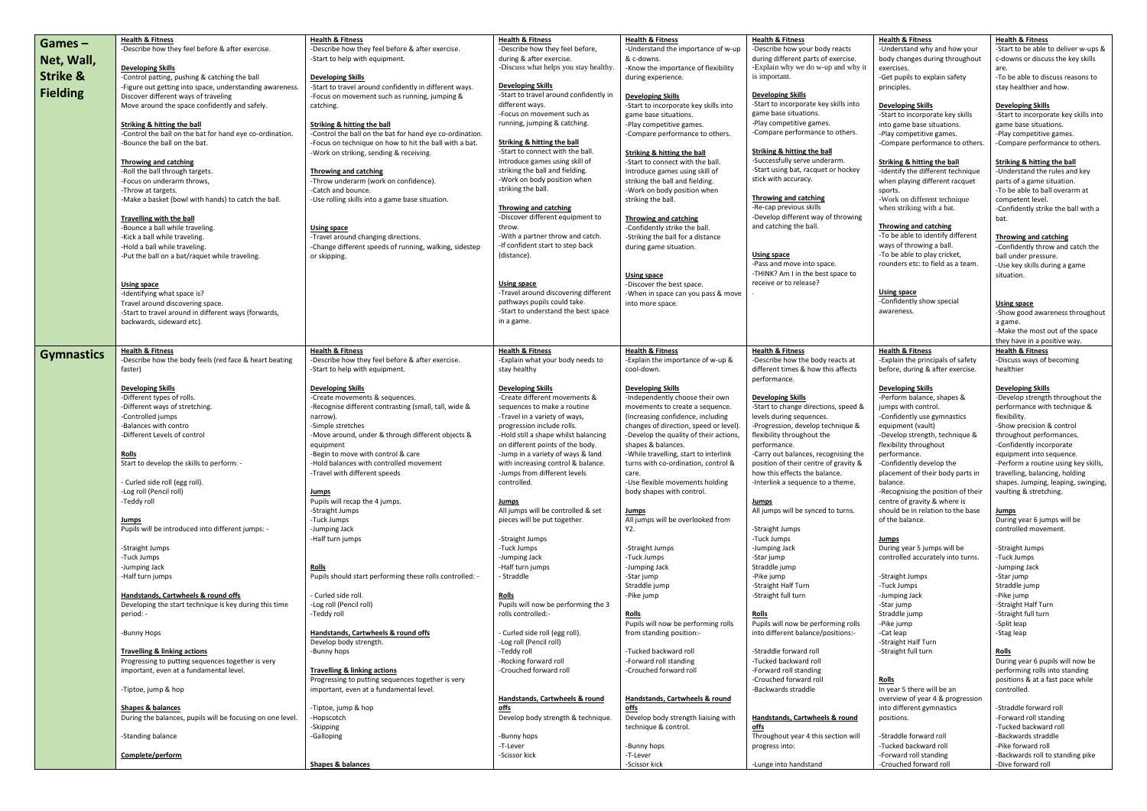| Games-              | <b>Health &amp; Fitness</b>                                                              | <b>Health &amp; Fitness</b>                                                             | <b>Health &amp; Fitness</b>                                          | <b>Health &amp; Fitness</b>                                                 | <b>Health &amp; Fitness</b>                                            |
|---------------------|------------------------------------------------------------------------------------------|-----------------------------------------------------------------------------------------|----------------------------------------------------------------------|-----------------------------------------------------------------------------|------------------------------------------------------------------------|
|                     | -Describe how they feel before & after exercise.                                         | -Describe how they feel before & after exercise.                                        | -Describe how they feel before,                                      | -Understand the importance of w-up                                          | -Describe how your body reacts                                         |
| Net, Wall,          |                                                                                          | -Start to help with equipment.                                                          | during & after exercise.                                             | & c-downs.                                                                  | during different parts of exercise.                                    |
| <b>Strike &amp;</b> | <b>Developing Skills</b><br>-Control patting, pushing & catching the ball                | <b>Developing Skills</b>                                                                | -Discuss what helps you stay healthy.                                | -Know the importance of flexibility<br>during experience.                   | -Explain why we do w-up and why it<br>is important.                    |
|                     | -Figure out getting into space, understanding awareness.                                 | -Start to travel around confidently in different ways.                                  | <b>Developing Skills</b>                                             |                                                                             |                                                                        |
| <b>Fielding</b>     | Discover different ways of traveling                                                     | -Focus on movement such as running, jumping &                                           | -Start to travel around confidently in                               | <b>Developing Skills</b>                                                    | <b>Developing Skills</b>                                               |
|                     | Move around the space confidently and safely.                                            | catching.                                                                               | different ways.                                                      | -Start to incorporate key skills into                                       | -Start to incorporate key skills into                                  |
|                     |                                                                                          |                                                                                         | -Focus on movement such as<br>running, jumping & catching.           | game base situations.                                                       | game base situations.<br>-Play competitive games.                      |
|                     | Striking & hitting the ball<br>-Control the ball on the bat for hand eye co-ordination.  | Striking & hitting the ball<br>-Control the ball on the bat for hand eye co-ordination. |                                                                      | -Play competitive games.<br>-Compare performance to others.                 | -Compare performance to others.                                        |
|                     | -Bounce the ball on the bat.                                                             | -Focus on technique on how to hit the ball with a bat.                                  | Striking & hitting the ball                                          |                                                                             |                                                                        |
|                     |                                                                                          | -Work on striking, sending & receiving.                                                 | -Start to connect with the ball.                                     | Striking & hitting the ball                                                 | Striking & hitting the ball                                            |
|                     | <b>Throwing and catching</b>                                                             |                                                                                         | Introduce games using skill of                                       | -Start to connect with the ball.                                            | -Successfully serve underarm.                                          |
|                     | -Roll the ball through targets.                                                          | <b>Throwing and catching</b>                                                            | striking the ball and fielding.                                      | Introduce games using skill of                                              | -Start using bat, racquet or hockey<br>stick with accuracy.            |
|                     | Focus on underarm throws,<br>-Throw at targets.                                          | -Throw underarm (work on confidence).<br>-Catch and bounce.                             | -Work on body position when<br>striking the ball.                    | striking the ball and fielding.<br>-Work on body position when              |                                                                        |
|                     | -Make a basket (bowl with hands) to catch the ball.                                      | -Use rolling skills into a game base situation.                                         |                                                                      | striking the ball.                                                          | <b>Throwing and catching</b>                                           |
|                     |                                                                                          |                                                                                         | Throwing and catching                                                |                                                                             | -Re-cap previous skills                                                |
|                     | Travelling with the ball                                                                 |                                                                                         | -Discover different equipment to                                     | Throwing and catching                                                       | Develop different way of throwing                                      |
|                     | -Bounce a ball while traveling.                                                          | Using space                                                                             | throw.                                                               | -Confidently strike the ball.                                               | and catching the ball.                                                 |
|                     | Kick a ball while traveling.                                                             | -Travel around changing directions.                                                     | -With a partner throw and catch.<br>-If confident start to step back | -Striking the ball for a distance                                           |                                                                        |
|                     | -Hold a ball while traveling.<br>-Put the ball on a bat/raquet while traveling.          | -Change different speeds of running, walking, sidestep<br>or skipping.                  | (distance).                                                          | during game situation.                                                      | Using space                                                            |
|                     |                                                                                          |                                                                                         |                                                                      |                                                                             | -Pass and move into space.                                             |
|                     |                                                                                          |                                                                                         |                                                                      | Using space                                                                 | -THINK? Am I in the best space to                                      |
|                     | Using space                                                                              |                                                                                         | Using space                                                          | -Discover the best space.                                                   | receive or to release?                                                 |
|                     | -Identifying what space is?                                                              |                                                                                         | -Travel around discovering different                                 | -When in space can you pass & move                                          |                                                                        |
|                     | Travel around discovering space.<br>-Start to travel around in different ways (forwards, |                                                                                         | pathways pupils could take.<br>-Start to understand the best space   | into more space.                                                            |                                                                        |
|                     | backwards, sideward etc).                                                                |                                                                                         | in a game.                                                           |                                                                             |                                                                        |
|                     |                                                                                          |                                                                                         |                                                                      |                                                                             |                                                                        |
|                     |                                                                                          |                                                                                         |                                                                      |                                                                             |                                                                        |
| <b>Gymnastics</b>   | <b>Health &amp; Fitness</b>                                                              | <b>Health &amp; Fitness</b>                                                             | <b>Health &amp; Fitness</b>                                          | <b>Health &amp; Fitness</b>                                                 | <b>Health &amp; Fitness</b>                                            |
|                     | -Describe how the body feels (red face & heart beating<br>faster)                        | -Describe how they feel before & after exercise.<br>-Start to help with equipment.      | -Explain what your body needs to<br>stay healthy                     | -Explain the importance of w-up &<br>cool-down.                             | -Describe how the body reacts at<br>different times & how this affects |
|                     |                                                                                          |                                                                                         |                                                                      |                                                                             | performance.                                                           |
|                     | <b>Developing Skills</b>                                                                 | <b>Developing Skills</b>                                                                | <b>Developing Skills</b>                                             | <b>Developing Skills</b>                                                    |                                                                        |
|                     | -Different types of rolls.                                                               | -Create movements & sequences.                                                          | -Create different movements &                                        | -Independently choose their own                                             | <b>Developing Skills</b>                                               |
|                     | -Different ways of stretching.                                                           | -Recognise different contrasting (small, tall, wide &                                   | sequences to make a routine                                          | movements to create a sequence.                                             | -Start to change directions, speed &                                   |
|                     | -Controlled jumps<br>-Balances with contro                                               | narrow).<br>-Simple stretches                                                           | -Travel in a variety of ways,<br>progression include rolls.          | (Increasing confidence, including<br>changes of direction, speed or level). | levels during sequences.<br>-Progression, develop technique &          |
|                     | -Different Levels of control                                                             | -Move around, under & through different objects &                                       | -Hold still a shape whilst balancing                                 | -Develop the quality of their actions,                                      | flexibility throughout the                                             |
|                     |                                                                                          | equipment                                                                               | on different points of the body.                                     | shapes & balances.                                                          | performance.                                                           |
|                     | Rolls                                                                                    | -Begin to move with control & care                                                      | -Jump in a variety of ways & land                                    | -While travelling, start to interlink                                       | -Carry out balances, recognising the                                   |
|                     | Start to develop the skills to perform: -                                                | Hold balances with controlled movement                                                  | with increasing control & balance.                                   | turns with co-ordination, control &                                         | position of their centre of gravity &                                  |
|                     | - Curled side roll (egg roll).                                                           | -Travel with different speeds                                                           | -Jumps from different levels<br>controlled.                          | care.<br>-Use flexible movements holding                                    | how this effects the balance.<br>-Interlink a sequence to a theme.     |
|                     | -Log roll (Pencil roll)                                                                  | <u>Jumps</u>                                                                            |                                                                      | body shapes with control.                                                   |                                                                        |
|                     | -Teddy roll                                                                              | Pupils will recap the 4 jumps.                                                          | <b>Jumps</b>                                                         |                                                                             | <u>Jumps</u>                                                           |
|                     |                                                                                          | -Straight Jumps                                                                         | All jumps will be controlled & set                                   | <u>Jumps</u>                                                                | All jumps will be synced to turns.                                     |
|                     | Jumps                                                                                    | -Tuck Jumps                                                                             | pieces will be put together.                                         | All jumps will be overlooked from                                           |                                                                        |
|                     | Pupils will be introduced into different jumps: -                                        | -Jumping Jack<br>-Half turn jumps                                                       | -Straight Jumps                                                      | Y2.                                                                         | -Straight Jumps<br>-Tuck Jumps                                         |
|                     | -Straight Jumps                                                                          |                                                                                         | -Tuck Jumps                                                          | -Straight Jumps                                                             | -Jumping Jack                                                          |
|                     | -Tuck Jumps                                                                              |                                                                                         | -Jumping Jack                                                        | -Tuck Jumps                                                                 | -Star jump                                                             |
|                     | -Jumping Jack                                                                            | Rolls                                                                                   | -Half turn jumps                                                     | -Jumping Jack                                                               | Straddle jump                                                          |
|                     | -Half turn jumps                                                                         | Pupils should start performing these rolls controlled: -                                | - Straddle                                                           | -Star jump                                                                  | -Pike jump                                                             |
|                     | Handstands, Cartwheels & round offs                                                      | - Curled side roll.                                                                     | Rolls                                                                | Straddle jump<br>-Pike jump                                                 | -Straight Half Turn<br>-Straight full turn                             |
|                     | Developing the start technique is key during this time                                   | -Log roll (Pencil roll)                                                                 | Pupils will now be performing the 3                                  |                                                                             |                                                                        |
|                     | period: -                                                                                | -Teddy roll                                                                             | rolls controlled:-                                                   | Rolls                                                                       | <b>Rolls</b>                                                           |
|                     |                                                                                          |                                                                                         |                                                                      | Pupils will now be performing rolls                                         | Pupils will now be performing rolls                                    |
|                     | -Bunny Hops                                                                              | Handstands, Cartwheels & round offs                                                     | - Curled side roll (egg roll).                                       | from standing position:-                                                    | into different balance/positions:-                                     |
|                     | <b>Travelling &amp; linking actions</b>                                                  | Develop body strength.<br>-Bunny hops                                                   | -Log roll (Pencil roll)<br>-Teddy roll                               | -Tucked backward roll                                                       | -Straddle forward roll                                                 |
|                     | Progressing to putting sequences together is very                                        |                                                                                         | -Rocking forward roll                                                | -Forward roll standing                                                      | -Tucked backward roll                                                  |
|                     | important, even at a fundamental level.                                                  | <b>Travelling &amp; linking actions</b>                                                 | -Crouched forward roll                                               | -Crouched forward roll                                                      | -Forward roll standing                                                 |
|                     |                                                                                          | Progressing to putting sequences together is very                                       |                                                                      |                                                                             | -Crouched forward roll                                                 |
|                     | -Tiptoe, jump & hop                                                                      | important, even at a fundamental level.                                                 |                                                                      |                                                                             | -Backwards straddle                                                    |
|                     |                                                                                          |                                                                                         | Handstands, Cartwheels & round                                       | Handstands, Cartwheels & round                                              |                                                                        |
|                     | Shapes & balances<br>During the balances, pupils will be focusing on one level.          | -Tiptoe, jump & hop<br>-Hopscotch                                                       | <u>offs</u><br>Develop body strength & technique.                    | offs<br>Develop body strength liaising with                                 | Handstands, Cartwheels & round                                         |
|                     |                                                                                          | -Skipping                                                                               |                                                                      | technique & control.                                                        | offs                                                                   |
|                     | -Standing balance                                                                        | -Galloping                                                                              | -Bunny hops                                                          |                                                                             | Throughout year 4 this section will                                    |
|                     |                                                                                          |                                                                                         | -T-Lever                                                             | -Bunny hops                                                                 | progress into:                                                         |
|                     | Complete/perform                                                                         |                                                                                         | -Scissor kick                                                        | -T-Lever                                                                    |                                                                        |
|                     |                                                                                          | Shapes & balances                                                                       |                                                                      | -Scissor kick                                                               | -Lunge into handstand                                                  |

| <b>Health &amp; Fitness</b>              | Health & Fitness                       |
|------------------------------------------|----------------------------------------|
| -Understand why and how your             | -Start to be able to deliver w-ups &   |
| body changes during throughout           | c-downs or discuss the key skills      |
| exercises.                               | are.                                   |
|                                          |                                        |
| -Get pupils to explain safety            | -To be able to discuss reasons to      |
| principles.                              | stay healthier and how.                |
|                                          |                                        |
| <b>Developing Skills</b>                 | <b>Developing Skills</b>               |
| -Start to incorporate key skills         | -Start to incorporate key skills into  |
| into game base situations.               | game base situations.                  |
| -Play competitive games.                 | -Play competitive games.               |
| -Compare performance to others.          | -Compare performance to others.        |
|                                          |                                        |
| <b>Striking &amp; hitting the ball</b>   | <b>Striking &amp; hitting the ball</b> |
| -Identify the different technique        | -Understand the rules and key          |
|                                          |                                        |
| when playing different racquet           | parts of a game situation.             |
| sports.                                  | -To be able to ball overarm at         |
| -Work on different technique             | competent level.                       |
| when striking with a bat.                | -Confidently strike the ball with a    |
|                                          | bat.                                   |
| <b>Throwing and catching</b>             |                                        |
| -To be able to identify different        | <b>Throwing and catching</b>           |
| ways of throwing a ball.                 |                                        |
| -To be able to play cricket,             | -Confidently throw and catch the       |
|                                          | ball under pressure.                   |
| rounders etc: to field as a team.        | -Use key skills during a game          |
|                                          | situation.                             |
|                                          |                                        |
| Using space<br>-Confidently show special |                                        |
| awareness.                               | Using space                            |
|                                          | -Show good awareness throughout        |
|                                          | a game.                                |
|                                          | -Make the most out of the space        |
|                                          | they have in a positive way.           |
| <b>Health &amp; Fitness</b>              | <b>Health &amp; Fitness</b>            |
| -Explain the principals of safety        | -Discuss ways of becoming              |
| before, during & after exercise.         | healthier                              |
|                                          |                                        |
| <b>Developing Skills</b>                 | <b>Developing Skills</b>               |
| -Perform balance, shapes &               | -Develop strength throughout the       |
| jumps with control.                      | performance with technique &           |
|                                          |                                        |
| -Confidently use gymnastics              | flexibility.                           |
| equipment (vault)                        | -Show precision & control              |
| -Develop strength, technique &           | throughout performances.               |
| flexibility throughout                   | -Confidently incorporate               |
| performance.                             | equipment into sequence.               |
|                                          |                                        |
| -Confidently develop the                 | -Perform a routine using key skills,   |
| placement of their body parts in         | travelling, balancing, holding         |
| balance.                                 | shapes. Jumping, leaping, swinging,    |
| -Recognising the position of their       | vaulting & stretching.                 |
| centre of gravity & where is             |                                        |
| should be in relation to the base        | <u>Jumps</u>                           |
| of the balance.                          | During year 6 jumps will be            |
|                                          | controlled movement.                   |
| <u>Jumps</u>                             |                                        |
| During year 5 jumps will be              | -Straight Jumps                        |
| controlled accurately into turns.        | -Tuck Jumps                            |
|                                          | -Jumping Jack                          |
| -Straight Jumps                          | -Star jump                             |
| -Tuck Jumps                              | Straddle jump                          |
| -Jumping Jack                            | -Pike jump                             |
|                                          |                                        |
| -Star jump                               | -Straight Half Turn                    |
| Straddle jump                            | -Straight full turn                    |
| -Pike jump                               | -Split leap                            |
| -Cat leap                                | -Stag leap                             |
| -Straight Half Turn                      |                                        |
| -Straight full turn                      | Rolls                                  |
|                                          | During year 6 pupils will now be       |
|                                          | performing rolls into standing         |
| Rolls                                    | positions & at a fast pace while       |
| In year 5 there will be an               | controlled.                            |
| overview of year 4 & progression         |                                        |
| into different gymnastics                | -Straddle forward roll                 |
| positions.                               | -Forward roll standing                 |
|                                          | -Tucked backward roll                  |
|                                          |                                        |
| -Straddle forward roll                   | -Backwards straddle                    |
| -Tucked backward roll                    | -Pike forward roll                     |
| -Forward roll standing                   | -Backwards roll to standing pike       |
| -Crouched forward roll                   | -Dive forward roll                     |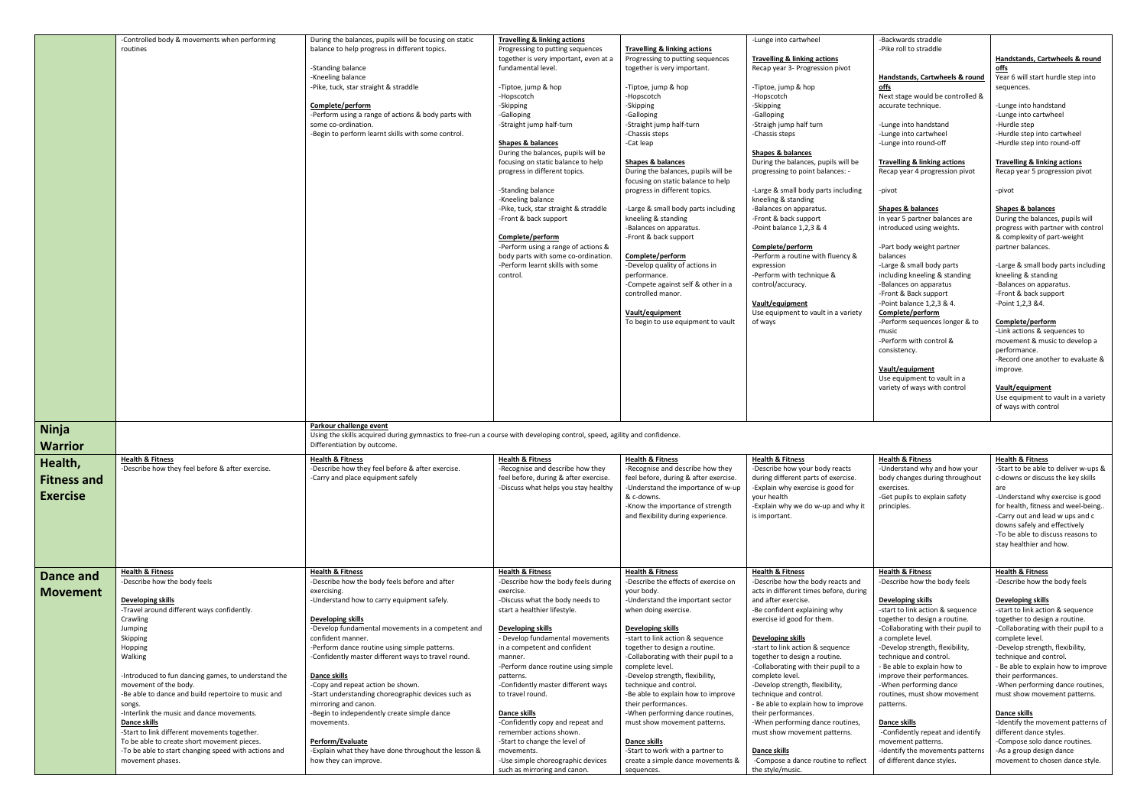|                                                                    | -Controlled body & movements when performing<br>routines                                                                                                                                                                                                                                                                                                                                                                                                                                                                                                                                | During the balances, pupils will be focusing on static<br>balance to help progress in different topics.<br>-Standing balance<br>-Kneeling balance<br>-Pike, tuck, star straight & straddle<br>Complete/perform<br>-Perform using a range of actions & body parts with<br>some co-ordination.<br>-Begin to perform learnt skills with some control.                                                                                                                                                                                                                                                                                                    | <b>Travelling &amp; linking actions</b><br>Progressing to putting sequences<br>together is very important, even at a<br>fundamental level.<br>-Tiptoe, jump & hop<br>-Hopscotch<br>-Skipping<br>-Galloping<br>-Straight jump half-turn<br>Shapes & balances<br>During the balances, pupils will be<br>focusing on static balance to help<br>progress in different topics.<br>-Standing balance<br>-Kneeling balance<br>-Pike, tuck, star straight & straddle<br>-Front & back support<br>Complete/perform<br>-Perform using a range of actions &<br>body parts with some co-ordination.<br>-Perform learnt skills with some<br>control. | <b>Travelling &amp; linking actions</b><br>Progressing to putting sequences<br>together is very important.<br>-Tiptoe, jump & hop<br>-Hopscotch<br>-Skipping<br>-Galloping<br>-Straight jump half-turn<br>-Chassis steps<br>-Cat leap<br>Shapes & balances<br>During the balances, pupils will be<br>focusing on static balance to help<br>progress in different topics.<br>-Large & small body parts including<br>kneeling & standing<br>-Balances on apparatus.<br>-Front & back support<br>Complete/perform<br>-Develop quality of actions in<br>performance.<br>-Compete against self & other in a<br>controlled manor.<br>Vault/equipment<br>To begin to use equipment to vault | -Lunge into cartwheel<br><b>Travelling &amp; linking actions</b><br>Recap year 3- Progression pivot<br>-Tiptoe, jump & hop<br>-Hopscotch<br>-Skipping<br>-Galloping<br>-Straigh jump half turn<br>-Chassis steps<br>Shapes & balances<br>During the balances, pupils will be<br>progressing to point balances: -<br>-Large & small body parts including<br>kneeling & standing<br>-Balances on apparatus.<br>-Front & back support<br>-Point balance 1,2,3 & 4<br>Complete/perform<br>-Perform a routine with fluency &<br>expression<br>-Perform with technique &<br>control/accuracy.<br>Vault/equipment<br>Use equipment to vault in a variety<br>of ways | -Backwards straddle<br>-Pike roll to straddle<br>Handstands, Cartwheels & round<br>offs<br>Next stage would be controlled &<br>accurate technique.<br>-Lunge into handstand<br>-Lunge into cartwheel<br>-Lunge into round-off<br><b>Travelling &amp; linking actions</b><br>Recap year 4 progression pivot<br>-pivot<br>Shapes & balances<br>In year 5 partner balances are<br>introduced using weights.<br>-Part body weight partner<br>balances<br>-Large & small body parts<br>including kneeling & standing<br>-Balances on apparatus<br>-Front & Back support<br>-Point balance 1,2,3 & 4.<br>Complete/perform<br>-Perform sequences longer & to<br>music<br>-Perform with control &<br>consistency.<br>Vault/equipment<br>Use equipment to vault in a<br>variety of ways with control | Handstands, Cartwheels & round<br><u>offs</u><br>Year 6 will start hurdle step into<br>sequences.<br>-Lunge into handstand<br>-Lunge into cartwheel<br>-Hurdle step<br>-Hurdle step into cartwheel<br>-Hurdle step into round-off<br><b>Travelling &amp; linking actions</b><br>Recap year 5 progression pivot<br>-pivot<br><b>Shapes &amp; balances</b><br>During the balances, pupils will<br>progress with partner with control<br>& complexity of part-weight<br>partner balances.<br>-Large & small body parts including<br>kneeling & standing<br>-Balances on apparatus.<br>-Front & back support<br>-Point 1,2,3 &4.<br>Complete/perform<br>-Link actions & sequences to<br>movement & music to develop a<br>performance.<br>-Record one another to evaluate &<br>improve.<br><u>Vault/equipment</u><br>Use equipment to vault in a variety<br>of ways with control |
|--------------------------------------------------------------------|-----------------------------------------------------------------------------------------------------------------------------------------------------------------------------------------------------------------------------------------------------------------------------------------------------------------------------------------------------------------------------------------------------------------------------------------------------------------------------------------------------------------------------------------------------------------------------------------|-------------------------------------------------------------------------------------------------------------------------------------------------------------------------------------------------------------------------------------------------------------------------------------------------------------------------------------------------------------------------------------------------------------------------------------------------------------------------------------------------------------------------------------------------------------------------------------------------------------------------------------------------------|-----------------------------------------------------------------------------------------------------------------------------------------------------------------------------------------------------------------------------------------------------------------------------------------------------------------------------------------------------------------------------------------------------------------------------------------------------------------------------------------------------------------------------------------------------------------------------------------------------------------------------------------|--------------------------------------------------------------------------------------------------------------------------------------------------------------------------------------------------------------------------------------------------------------------------------------------------------------------------------------------------------------------------------------------------------------------------------------------------------------------------------------------------------------------------------------------------------------------------------------------------------------------------------------------------------------------------------------|--------------------------------------------------------------------------------------------------------------------------------------------------------------------------------------------------------------------------------------------------------------------------------------------------------------------------------------------------------------------------------------------------------------------------------------------------------------------------------------------------------------------------------------------------------------------------------------------------------------------------------------------------------------|---------------------------------------------------------------------------------------------------------------------------------------------------------------------------------------------------------------------------------------------------------------------------------------------------------------------------------------------------------------------------------------------------------------------------------------------------------------------------------------------------------------------------------------------------------------------------------------------------------------------------------------------------------------------------------------------------------------------------------------------------------------------------------------------|-----------------------------------------------------------------------------------------------------------------------------------------------------------------------------------------------------------------------------------------------------------------------------------------------------------------------------------------------------------------------------------------------------------------------------------------------------------------------------------------------------------------------------------------------------------------------------------------------------------------------------------------------------------------------------------------------------------------------------------------------------------------------------------------------------------------------------------------------------------------------------|
| Ninja                                                              |                                                                                                                                                                                                                                                                                                                                                                                                                                                                                                                                                                                         | Parkour challenge event<br>Using the skills acquired during gymnastics to free-run a course with developing control, speed, agility and confidence.<br>Differentiation by outcome.                                                                                                                                                                                                                                                                                                                                                                                                                                                                    |                                                                                                                                                                                                                                                                                                                                                                                                                                                                                                                                                                                                                                         |                                                                                                                                                                                                                                                                                                                                                                                                                                                                                                                                                                                                                                                                                      |                                                                                                                                                                                                                                                                                                                                                                                                                                                                                                                                                                                                                                                              |                                                                                                                                                                                                                                                                                                                                                                                                                                                                                                                                                                                                                                                                                                                                                                                             |                                                                                                                                                                                                                                                                                                                                                                                                                                                                                                                                                                                                                                                                                                                                                                                                                                                                             |
| <b>Warrior</b><br>Health,<br><b>Fitness and</b><br><b>Exercise</b> | <b>Health &amp; Fitness</b><br>-Describe how they feel before & after exercise.                                                                                                                                                                                                                                                                                                                                                                                                                                                                                                         | <b>Health &amp; Fitness</b><br>-Describe how they feel before & after exercise.<br>-Carry and place equipment safely                                                                                                                                                                                                                                                                                                                                                                                                                                                                                                                                  | <b>Health &amp; Fitness</b><br>-Recognise and describe how they<br>feel before, during & after exercise.<br>-Discuss what helps you stay healthy                                                                                                                                                                                                                                                                                                                                                                                                                                                                                        | <b>Health &amp; Fitness</b><br>-Recognise and describe how they<br>feel before, during & after exercise.<br>-Understand the importance of w-up<br>& c-downs.<br>-Know the importance of strength<br>and flexibility during experience.                                                                                                                                                                                                                                                                                                                                                                                                                                               | <b>Health &amp; Fitness</b><br>-Describe how your body reacts<br>during different parts of exercise.<br>-Explain why exercise is good for<br>your health<br>-Explain why we do w-up and why it<br>is important.                                                                                                                                                                                                                                                                                                                                                                                                                                              | <b>Health &amp; Fitness</b><br>-Understand why and how your<br>body changes during throughout<br>exercises.<br>-Get pupils to explain safety<br>principles.                                                                                                                                                                                                                                                                                                                                                                                                                                                                                                                                                                                                                                 | <b>Health &amp; Fitness</b><br>-Start to be able to deliver w-ups &<br>c-downs or discuss the key skills<br>are<br>-Understand why exercise is good<br>for health, fitness and weel-being<br>-Carry out and lead w ups and c<br>downs safely and effectively<br>-To be able to discuss reasons to<br>stay healthier and how.                                                                                                                                                                                                                                                                                                                                                                                                                                                                                                                                                |
| <b>Dance and</b><br><b>Movement</b>                                | <b>Health &amp; Fitness</b><br>-Describe how the body feels<br><b>Developing skills</b><br>-Travel around different ways confidently.<br>Crawling<br>Jumping<br>Skipping<br>Hopping<br>Walking<br>-Introduced to fun dancing games, to understand the<br>movement of the body.<br>-Be able to dance and build repertoire to music and<br>songs.<br>-Interlink the music and dance movements.<br>Dance skills<br>-Start to link different movements together.<br>To be able to create short movement pieces.<br>-To be able to start changing speed with actions and<br>movement phases. | <b>Health &amp; Fitness</b><br>-Describe how the body feels before and after<br>exercising.<br>-Understand how to carry equipment safely.<br>Developing skills<br>-Develop fundamental movements in a competent and<br>confident manner.<br>-Perform dance routine using simple patterns.<br>-Confidently master different ways to travel round.<br>Dance skills<br>-Copy and repeat action be shown.<br>-Start understanding choreographic devices such as<br>mirroring and canon.<br>-Begin to independently create simple dance<br>movements.<br>Perform/Evaluate<br>-Explain what they have done throughout the lesson &<br>how they can improve. | <b>Health &amp; Fitness</b><br>-Describe how the body feels during<br>exercise.<br>-Discuss what the body needs to<br>start a healthier lifestyle.<br>Developing skills<br>- Develop fundamental movements<br>in a competent and confident<br>manner.<br>-Perform dance routine using simple<br>patterns.<br>-Confidently master different ways<br>to travel round.<br><u>Dance skills</u><br>-Confidently copy and repeat and<br>remember actions shown.<br>-Start to change the level of<br>movements.<br>-Use simple choreographic devices<br>such as mirroring and canon.                                                           | <b>Health &amp; Fitness</b><br>-Describe the effects of exercise on<br>your body.<br>-Understand the important sector<br>when doing exercise.<br>Developing skills<br>-start to link action & sequence<br>together to design a routine.<br>-Collaborating with their pupil to a<br>complete level.<br>-Develop strength, flexibility,<br>technique and control.<br>-Be able to explain how to improve<br>their performances.<br>-When performing dance routines,<br>must show movement patterns.<br>Dance skills<br>-Start to work with a partner to<br>create a simple dance movements &<br>sequences.                                                                              | <b>Health &amp; Fitness</b><br>-Describe how the body reacts and<br>acts in different times before, during<br>and after exercise.<br>-Be confident explaining why<br>exercise id good for them.<br>Developing skills<br>-start to link action & sequence<br>together to design a routine.<br>-Collaborating with their pupil to a<br>complete level.<br>-Develop strength, flexibility,<br>technique and control.<br>- Be able to explain how to improve<br>their performances.<br>-When performing dance routines,<br>must show movement patterns.<br>Dance skills<br>-Compose a dance routine to reflect<br>the style/music.                               | <b>Health &amp; Fitness</b><br>-Describe how the body feels<br><b>Developing skills</b><br>-start to link action & sequence<br>together to design a routine.<br>-Collaborating with their pupil to<br>a complete level.<br>-Develop strength, flexibility,<br>technique and control.<br>- Be able to explain how to<br>improve their performances.<br>-When performing dance<br>routines, must show movement<br>patterns.<br>Dance skills<br>-Confidently repeat and identify<br>movement patterns.<br>-Identify the movements patterns<br>of different dance styles.                                                                                                                                                                                                                       | <b>Health &amp; Fitness</b><br>-Describe how the body feels<br>Developing skills<br>-start to link action & sequence<br>together to design a routine.<br>-Collaborating with their pupil to a<br>complete level.<br>-Develop strength, flexibility,<br>technique and control.<br>- Be able to explain how to improve<br>their performances.<br>-When performing dance routines,<br>must show movement patterns.<br>Dance skills<br>-Identify the movement patterns of<br>different dance styles.<br>-Compose solo dance routines.<br>-As a group design dance<br>movement to chosen dance style.                                                                                                                                                                                                                                                                            |

- 
- 

- 
- 
- 
- 
-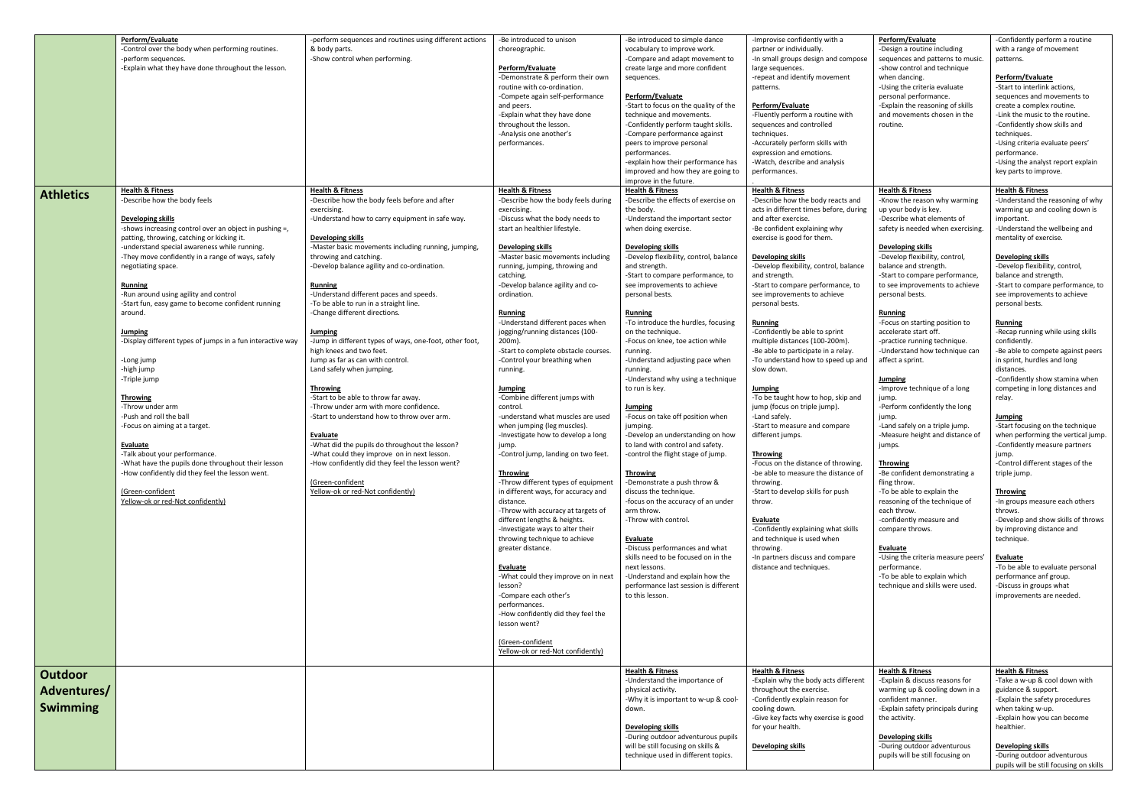|                  | Perform/Evaluate                                           | -perform sequences and routines using different actions | -Be introduced to unison             | -Be introduced to simple dance                                 | -Improvise confidently with a                            | Perform/Evaluate                   | -Confidently perform a routine                      |
|------------------|------------------------------------------------------------|---------------------------------------------------------|--------------------------------------|----------------------------------------------------------------|----------------------------------------------------------|------------------------------------|-----------------------------------------------------|
|                  | -Control over the body when performing routines.           | & body parts.                                           | choreographic.                       | vocabulary to improve work.                                    | partner or individually.                                 | -Design a routine including        | with a range of movement                            |
|                  | -perform sequences.                                        | -Show control when performing.                          |                                      | -Compare and adapt movement to                                 | -In small groups design and compose                      | sequences and patterns to music.   | patterns.                                           |
|                  | -Explain what they have done throughout the lesson.        |                                                         | Perform/Evaluate                     | create large and more confident                                | large sequences.                                         | -show control and technique        |                                                     |
|                  |                                                            |                                                         | -Demonstrate & perform their own     |                                                                | -repeat and identify movement                            | when dancing.                      | Perform/Evaluate                                    |
|                  |                                                            |                                                         | routine with co-ordination.          | sequences.                                                     | patterns.                                                | -Using the criteria evaluate       | -Start to interlink actions,                        |
|                  |                                                            |                                                         | -Compete again self-performance      | Perform/Evaluate                                               |                                                          | personal performance.              | sequences and movements to                          |
|                  |                                                            |                                                         | and peers.                           | -Start to focus on the quality of the                          | Perform/Evaluate                                         | -Explain the reasoning of skills   | create a complex routine.                           |
|                  |                                                            |                                                         | Explain what they have done          | technique and movements.                                       | -Fluently perform a routine with                         | and movements chosen in the        | -Link the music to the routine.                     |
|                  |                                                            |                                                         | throughout the lesson.               | -Confidently perform taught skills.                            | sequences and controlled                                 | routine.                           | -Confidently show skills and                        |
|                  |                                                            |                                                         | -Analysis one another's              | -Compare performance against                                   | techniques.                                              |                                    | techniques.                                         |
|                  |                                                            |                                                         | performances.                        | peers to improve personal                                      | -Accurately perform skills with                          |                                    | -Using criteria evaluate peers'                     |
|                  |                                                            |                                                         |                                      | performances.                                                  | expression and emotions.                                 |                                    | performance.                                        |
|                  |                                                            |                                                         |                                      | -explain how their performance has                             | -Watch, describe and analysis                            |                                    | -Using the analyst report explain                   |
|                  |                                                            |                                                         |                                      | improved and how they are going to                             | performances.                                            |                                    | key parts to improve.                               |
|                  |                                                            |                                                         |                                      | improve in the future.                                         |                                                          |                                    |                                                     |
|                  | <b>Health &amp; Fitness</b>                                | <b>Health &amp; Fitness</b>                             | <b>Health &amp; Fitness</b>          | <b>Health &amp; Fitness</b>                                    | <b>Health &amp; Fitness</b>                              | <b>Health &amp; Fitness</b>        | <b>Health &amp; Fitness</b>                         |
| <b>Athletics</b> | -Describe how the body feels                               | -Describe how the body feels before and after           | -Describe how the body feels during  | -Describe the effects of exercise on                           | -Describe how the body reacts and                        | -Know the reason why warming       | -Understand the reasoning of why                    |
|                  |                                                            | exercising.                                             | exercising.                          | the body.                                                      | acts in different times before, during                   | up your body is key.               | warming up and cooling down is                      |
|                  | Developing skills                                          | -Understand how to carry equipment in safe way.         | -Discuss what the body needs to      | -Understand the important sector                               | and after exercise.                                      | -Describe what elements of         | important.                                          |
|                  | -shows increasing control over an object in pushing =,     |                                                         | start an healthier lifestyle.        | when doing exercise.                                           | -Be confident explaining why                             | safety is needed when exercising.  | -Understand the wellbeing and                       |
|                  | patting, throwing, catching or kicking it.                 | Developing skills                                       |                                      |                                                                | exercise is good for them.                               |                                    | mentality of exercise.                              |
|                  | -understand special awareness while running.               | -Master basic movements including running, jumping,     | Developing skills                    | Developing skills                                              |                                                          | Developing skills                  |                                                     |
|                  | -They move confidently in a range of ways, safely          | throwing and catching.                                  | -Master basic movements including    | -Develop flexibility, control, balance                         | Developing skills                                        | -Develop flexibility, control,     |                                                     |
|                  |                                                            | -Develop balance agility and co-ordination.             |                                      | and strength.                                                  | -Develop flexibility, control, balance                   | balance and strength.              | Developing skills<br>-Develop flexibility, control, |
|                  | negotiating space.                                         |                                                         | running, jumping, throwing and       |                                                                |                                                          |                                    |                                                     |
|                  |                                                            |                                                         | catching.                            | -Start to compare performance, to                              | and strength.                                            | -Start to compare performance,     | balance and strength.                               |
|                  | Running                                                    | Running                                                 | -Develop balance agility and co-     | see improvements to achieve                                    | -Start to compare performance, to                        | to see improvements to achieve     | -Start to compare performance, to                   |
|                  | -Run around using agility and control                      | -Understand different paces and speeds.                 | ordination.                          | personal bests.                                                | see improvements to achieve                              | personal bests.                    | see improvements to achieve                         |
|                  | -Start fun, easy game to become confident running          | -To be able to run in a straight line.                  |                                      |                                                                | personal bests.                                          |                                    | personal bests.                                     |
|                  | around.                                                    | Change different directions.                            | <b>Running</b>                       | Running                                                        |                                                          | Running                            |                                                     |
|                  |                                                            |                                                         | -Understand different paces when     | -To introduce the hurdles, focusing                            | Running                                                  | -Focus on starting position to     | <b>Running</b>                                      |
|                  | <u>Jumping</u>                                             | <b>Jumping</b>                                          | jogging/running distances (100-      | on the technique.                                              | -Confidently be able to sprint                           | accelerate start off.              | -Recap running while using skills                   |
|                  | -Display different types of jumps in a fun interactive way | -Jump in different types of ways, one-foot, other foot, | 200m).                               | -Focus on knee, toe action while                               | multiple distances (100-200m).                           | -practice running technique.       | confidently.                                        |
|                  |                                                            | high knees and two feet.                                | -Start to complete obstacle courses. | running.                                                       | -Be able to participate in a relay.                      | -Understand how technique can      | -Be able to compete against peers                   |
|                  | -Long jump                                                 | Jump as far as can with control.                        | -Control your breathing when         | -Understand adjusting pace when                                | -To understand how to speed up and                       | affect a sprint.                   | in sprint, hurdles and long                         |
|                  | -high jump                                                 | Land safely when jumping.                               | running.                             | running.                                                       | slow down.                                               |                                    | distances.                                          |
|                  | -Triple jump                                               |                                                         |                                      | -Understand why using a technique                              |                                                          | <u>Jumping</u>                     | -Confidently show stamina when                      |
|                  |                                                            | <b>Throwing</b>                                         | <u>Jumping</u>                       | to run is key.                                                 | <u>Jumping</u>                                           | -Improve technique of a long       | competing in long distances and                     |
|                  | <b>Throwing</b>                                            | -Start to be able to throw far away.                    | -Combine different jumps with        |                                                                | -To be taught how to hop, skip and                       | jump.                              | relay.                                              |
|                  | -Throw under arm                                           | -Throw under arm with more confidence.                  | control.                             | <b>Jumping</b>                                                 | jump (focus on triple jump).                             | -Perform confidently the long      |                                                     |
|                  | -Push and roll the ball                                    | -Start to understand how to throw over arm.             | -understand what muscles are used    | -Focus on take off position when                               | -Land safely.                                            | jump.                              | <b>Jumping</b>                                      |
|                  | -Focus on aiming at a target.                              |                                                         | when jumping (leg muscles).          | jumping.                                                       | -Start to measure and compare                            | -Land safely on a triple jump.     | -Start focusing on the technique                    |
|                  |                                                            | <b>Evaluate</b>                                         | -Investigate how to develop a long   | -Develop an understanding on how                               | different jumps.                                         | -Measure height and distance of    | when performing the vertical jump.                  |
|                  | Evaluate                                                   | -What did the pupils do throughout the lesson?          | jump.                                | to land with control and safety.                               |                                                          | jumps.                             | -Confidently measure partners                       |
|                  | -Talk about your performance.                              | -What could they improve on in next lesson.             | -Control jump, landing on two feet.  | -control the flight stage of jump.                             | <b>Throwing</b>                                          |                                    | jump.                                               |
|                  | -What have the pupils done throughout their lesson         | -How confidently did they feel the lesson went?         |                                      |                                                                | -Focus on the distance of throwing.                      | <b>Throwing</b>                    | -Control different stages of the                    |
|                  | -How confidently did they feel the lesson went.            |                                                         | <b>Throwing</b>                      | <b>Throwing</b>                                                | -be able to measure the distance of                      | -Be confident demonstrating a      | triple jump.                                        |
|                  |                                                            | (Green-confident                                        | -Throw different types of equipment  | -Demonstrate a push throw &                                    | throwing.                                                | fling throw.                       |                                                     |
|                  | (Green-confident                                           | Yellow-ok or red-Not confidently)                       | in different ways, for accuracy and  | discuss the technique.                                         | -Start to develop skills for push                        | -To be able to explain the         | <b>Throwing</b>                                     |
|                  | Yellow-ok or red-Not confidently)                          |                                                         | distance.                            | -focus on the accuracy of an under                             | throw.                                                   | reasoning of the technique of      | -In groups measure each others                      |
|                  |                                                            |                                                         | -Throw with accuracy at targets of   | arm throw.                                                     |                                                          | each throw.                        | throws.                                             |
|                  |                                                            |                                                         | different lengths & heights.         | -Throw with control.                                           | <b>Evaluate</b>                                          | -confidently measure and           | -Develop and show skills of throws                  |
|                  |                                                            |                                                         | -Investigate ways to alter their     |                                                                | -Confidently explaining what skills                      | compare throws.                    | by improving distance and                           |
|                  |                                                            |                                                         | throwing technique to achieve        | <b>Evaluate</b>                                                | and technique is used when                               |                                    | technique.                                          |
|                  |                                                            |                                                         | greater distance.                    | -Discuss performances and what                                 | throwing.                                                | <u>Evaluate</u>                    |                                                     |
|                  |                                                            |                                                         |                                      | skills need to be focused on in the                            | -In partners discuss and compare                         | -Using the criteria measure peers' | Evaluate                                            |
|                  |                                                            |                                                         | <b>Evaluate</b>                      | next lessons.                                                  | distance and techniques.                                 | performance.                       | -To be able to evaluate personal                    |
|                  |                                                            |                                                         | -What could they improve on in next  | -Understand and explain how the                                |                                                          | -To be able to explain which       | performance anf group.                              |
|                  |                                                            |                                                         | lesson?                              | performance last session is different                          |                                                          | technique and skills were used.    | -Discuss in groups what                             |
|                  |                                                            |                                                         | -Compare each other's                | to this lesson.                                                |                                                          |                                    | improvements are needed.                            |
|                  |                                                            |                                                         | performances.                        |                                                                |                                                          |                                    |                                                     |
|                  |                                                            |                                                         | -How confidently did they feel the   |                                                                |                                                          |                                    |                                                     |
|                  |                                                            |                                                         | lesson went?                         |                                                                |                                                          |                                    |                                                     |
|                  |                                                            |                                                         |                                      |                                                                |                                                          |                                    |                                                     |
|                  |                                                            |                                                         | (Green-confident                     |                                                                |                                                          |                                    |                                                     |
|                  |                                                            |                                                         | Yellow-ok or red-Not confidently)    |                                                                |                                                          |                                    |                                                     |
|                  |                                                            |                                                         |                                      | <b>Health &amp; Fitness</b>                                    | <b>Health &amp; Fitness</b>                              | <b>Health &amp; Fitness</b>        | <b>Health &amp; Fitness</b>                         |
| <b>Outdoor</b>   |                                                            |                                                         |                                      | -Understand the importance of                                  | -Explain why the body acts different                     | -Explain & discuss reasons for     | -Take a w-up & cool down with                       |
|                  |                                                            |                                                         |                                      | physical activity.                                             | throughout the exercise.                                 | warming up & cooling down in a     | guidance & support.                                 |
| Adventures/      |                                                            |                                                         |                                      |                                                                |                                                          |                                    | -Explain the safety procedures                      |
| <b>Swimming</b>  |                                                            |                                                         |                                      | -Why it is important to w-up & cool-                           | -Confidently explain reason for                          | confident manner.                  |                                                     |
|                  |                                                            |                                                         |                                      | down.                                                          | cooling down.                                            | -Explain safety principals during  | when taking w-up.                                   |
|                  |                                                            |                                                         |                                      |                                                                | -Give key facts why exercise is good<br>for your health. | the activity.                      | -Explain how you can become<br>healthier.           |
|                  |                                                            |                                                         |                                      | <u>Developing skills</u><br>-During outdoor adventurous pupils |                                                          | Developing skills                  |                                                     |
|                  |                                                            |                                                         |                                      | will be still focusing on skills &                             | <b>Developing skills</b>                                 | -During outdoor adventurous        | Developing skills                                   |
|                  |                                                            |                                                         |                                      | technique used in different topics.                            |                                                          | pupils will be still focusing on   | -During outdoor adventurous                         |
|                  |                                                            |                                                         |                                      |                                                                |                                                          |                                    | pupils will be still focusing on skills             |
|                  |                                                            |                                                         |                                      |                                                                |                                                          |                                    |                                                     |